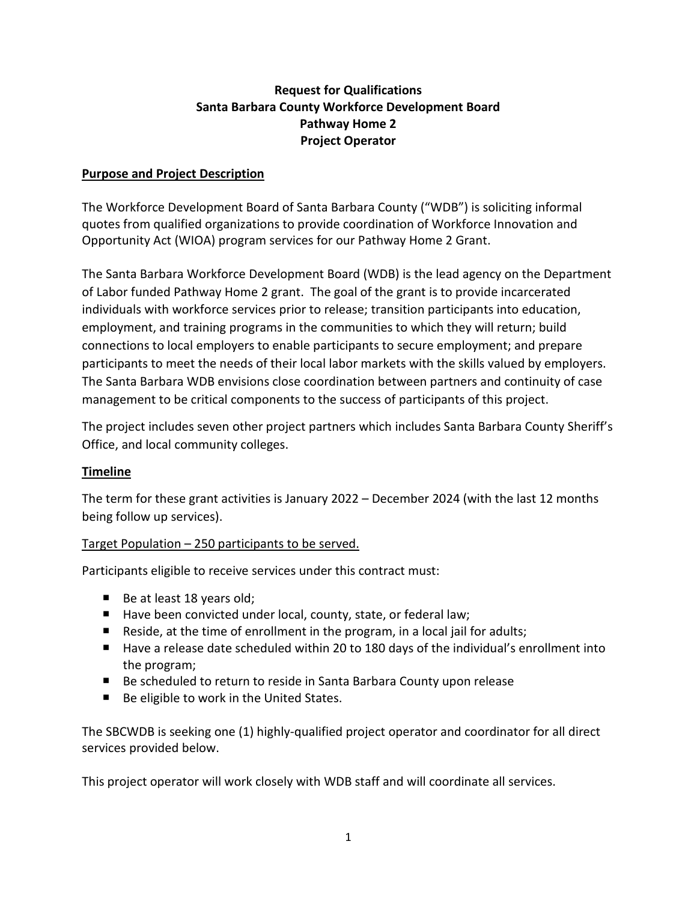## **Request for Qualifications Santa Barbara County Workforce Development Board Pathway Home 2 Project Operator**

### **Purpose and Project Description**

The Workforce Development Board of Santa Barbara County ("WDB") is soliciting informal quotes from qualified organizations to provide coordination of Workforce Innovation and Opportunity Act (WIOA) program services for our Pathway Home 2 Grant.

The Santa Barbara Workforce Development Board (WDB) is the lead agency on the Department of Labor funded Pathway Home 2 grant. The goal of the grant is to provide incarcerated individuals with workforce services prior to release; transition participants into education, employment, and training programs in the communities to which they will return; build connections to local employers to enable participants to secure employment; and prepare participants to meet the needs of their local labor markets with the skills valued by employers. The Santa Barbara WDB envisions close coordination between partners and continuity of case management to be critical components to the success of participants of this project.

The project includes seven other project partners which includes Santa Barbara County Sheriff's Office, and local community colleges.

#### **Timeline**

The term for these grant activities is January 2022 – December 2024 (with the last 12 months being follow up services).

#### Target Population – 250 participants to be served.

Participants eligible to receive services under this contract must:

- $\blacksquare$  Be at least 18 years old;
- Have been convicted under local, county, state, or federal law;
- Reside, at the time of enrollment in the program, in a local jail for adults;
- Have a release date scheduled within 20 to 180 days of the individual's enrollment into the program;
- Be scheduled to return to reside in Santa Barbara County upon release
- Be eligible to work in the United States.

The SBCWDB is seeking one (1) highly-qualified project operator and coordinator for all direct services provided below.

This project operator will work closely with WDB staff and will coordinate all services.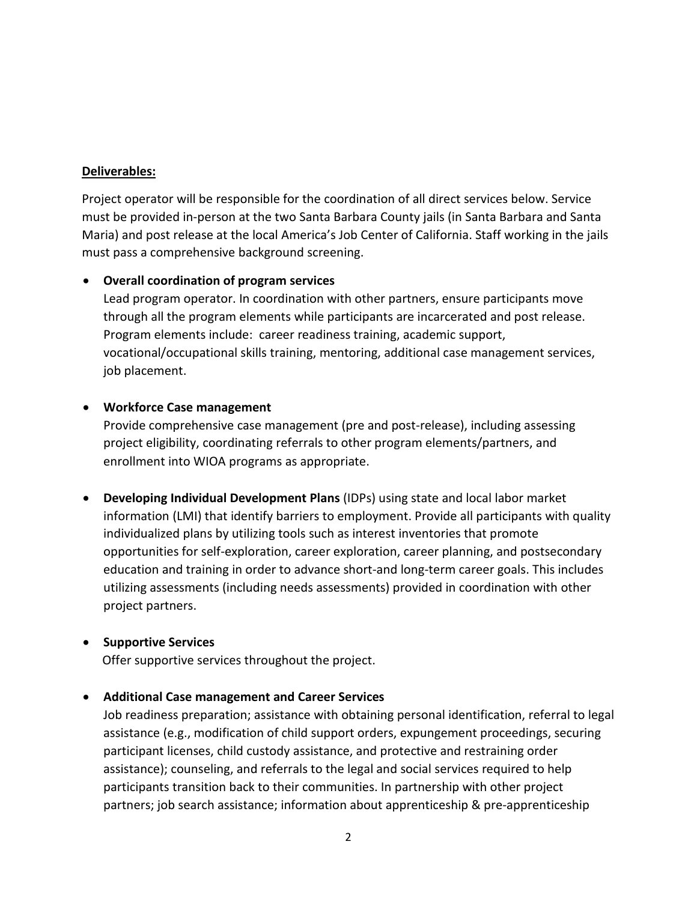### **Deliverables:**

Project operator will be responsible for the coordination of all direct services below. Service must be provided in-person at the two Santa Barbara County jails (in Santa Barbara and Santa Maria) and post release at the local America's Job Center of California. Staff working in the jails must pass a comprehensive background screening.

### **Overall coordination of program services**

Lead program operator. In coordination with other partners, ensure participants move through all the program elements while participants are incarcerated and post release. Program elements include: career readiness training, academic support, vocational/occupational skills training, mentoring, additional case management services, job placement.

### **Workforce Case management**

Provide comprehensive case management (pre and post-release), including assessing project eligibility, coordinating referrals to other program elements/partners, and enrollment into WIOA programs as appropriate.

 **Developing Individual Development Plans** (IDPs) using state and local labor market information (LMI) that identify barriers to employment. Provide all participants with quality individualized plans by utilizing tools such as interest inventories that promote opportunities for self-exploration, career exploration, career planning, and postsecondary education and training in order to advance short-and long-term career goals. This includes utilizing assessments (including needs assessments) provided in coordination with other project partners.

## **•** Supportive Services

Offer supportive services throughout the project.

#### **Additional Case management and Career Services**

Job readiness preparation; assistance with obtaining personal identification, referral to legal assistance (e.g., modification of child support orders, expungement proceedings, securing participant licenses, child custody assistance, and protective and restraining order assistance); counseling, and referrals to the legal and social services required to help participants transition back to their communities. In partnership with other project partners; job search assistance; information about apprenticeship & pre-apprenticeship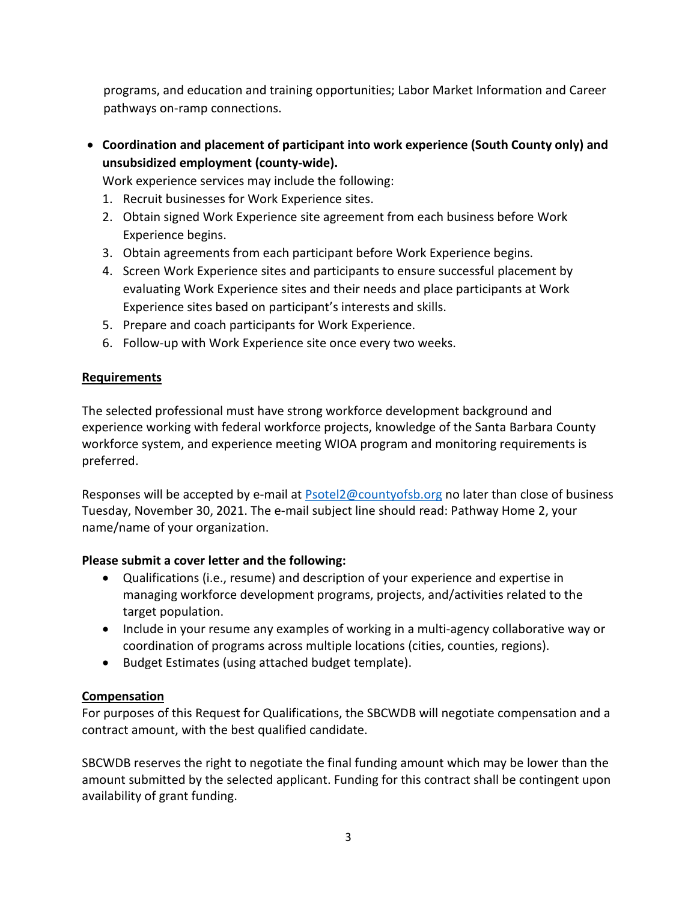programs, and education and training opportunities; Labor Market Information and Career pathways on-ramp connections.

 **Coordination and placement of participant into work experience (South County only) and unsubsidized employment (county-wide).** 

Work experience services may include the following:

- 1. Recruit businesses for Work Experience sites.
- 2. Obtain signed Work Experience site agreement from each business before Work Experience begins.
- 3. Obtain agreements from each participant before Work Experience begins.
- 4. Screen Work Experience sites and participants to ensure successful placement by evaluating Work Experience sites and their needs and place participants at Work Experience sites based on participant's interests and skills.
- 5. Prepare and coach participants for Work Experience.
- 6. Follow‐up with Work Experience site once every two weeks.

# **Requirements**

The selected professional must have strong workforce development background and experience working with federal workforce projects, knowledge of the Santa Barbara County workforce system, and experience meeting WIOA program and monitoring requirements is preferred.

Responses will be accepted by e-mail at [Psotel2@countyofsb.org](mailto:Psotel2@countyofsb.org) no later than close of business Tuesday, November 30, 2021. The e-mail subject line should read: Pathway Home 2, your name/name of your organization.

## **Please submit a cover letter and the following:**

- Qualifications (i.e., resume) and description of your experience and expertise in managing workforce development programs, projects, and/activities related to the target population.
- Include in your resume any examples of working in a multi-agency collaborative way or coordination of programs across multiple locations (cities, counties, regions).
- Budget Estimates (using attached budget template).

## **Compensation**

For purposes of this Request for Qualifications, the SBCWDB will negotiate compensation and a contract amount, with the best qualified candidate.

SBCWDB reserves the right to negotiate the final funding amount which may be lower than the amount submitted by the selected applicant. Funding for this contract shall be contingent upon availability of grant funding.